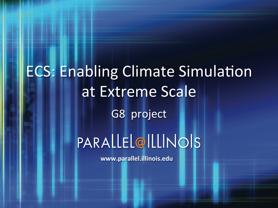# **ECS: Enabling Climate Simulation** at Extreme Scale G8 project PARALLEL@ILLINOIS

www.parallel.illinois.edu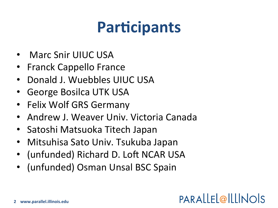## **Participants**

- Marc Snir UIUC USA
- Franck Cappello France
- Donald J. Wuebbles UIUC USA
- **George Bosilca UTK USA**
- Felix Wolf GRS Germany
- Andrew J. Weaver Univ. Victoria Canada
- Satoshi Matsuoka Titech Japan
- Mitsuhisa Sato Univ. Tsukuba Japan
- (unfunded) Richard D. Loft NCAR USA
- (unfunded) Osman Unsal BSC Spain

#### PARALLEL@ILLINOIS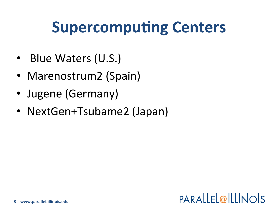### **Supercomputing Centers**

- Blue Waters (U.S.)
- Marenostrum2 (Spain)
- Jugene (Germany)
- NextGen+Tsubame2 (Japan)

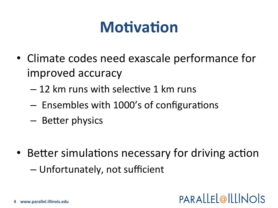### **Motivation**

- Climate codes need exascale performance for improved accuracy
	- 12 km runs with selective 1 km runs
	- Ensembles with 1000's of configurations
	- Better physics
- Better simulations necessary for driving action - Unfortunately, not sufficient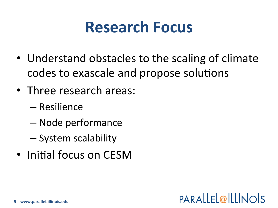### **Research Focus**

- Understand obstacles to the scaling of climate codes to exascale and propose solutions
- Three research areas:
	- Resilience
	- Node performance
	- System scalability
- Initial focus on CESM

#### PARALLEL@ILLINOIS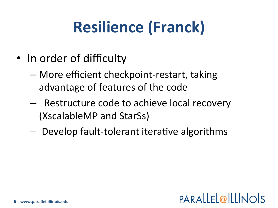# Resilience (Franck)

- In order of difficulty
	- $-$  More efficient checkpoint-restart, taking advantage of features of the code
	- $-$  Restructure code to achieve local recovery (XscalableMP and StarSs)
	- $-$  Develop fault-tolerant iterative algorithms

#### PARALLEL@ILLINOIS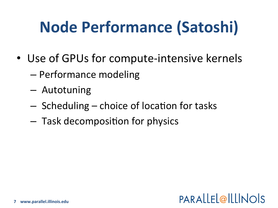# **Node Performance (Satoshi)**

- Use of GPUs for compute-intensive kernels
	- Performance modeling
	- Autotuning
	- Scheduling choice of location for tasks
	- Task decomposition for physics